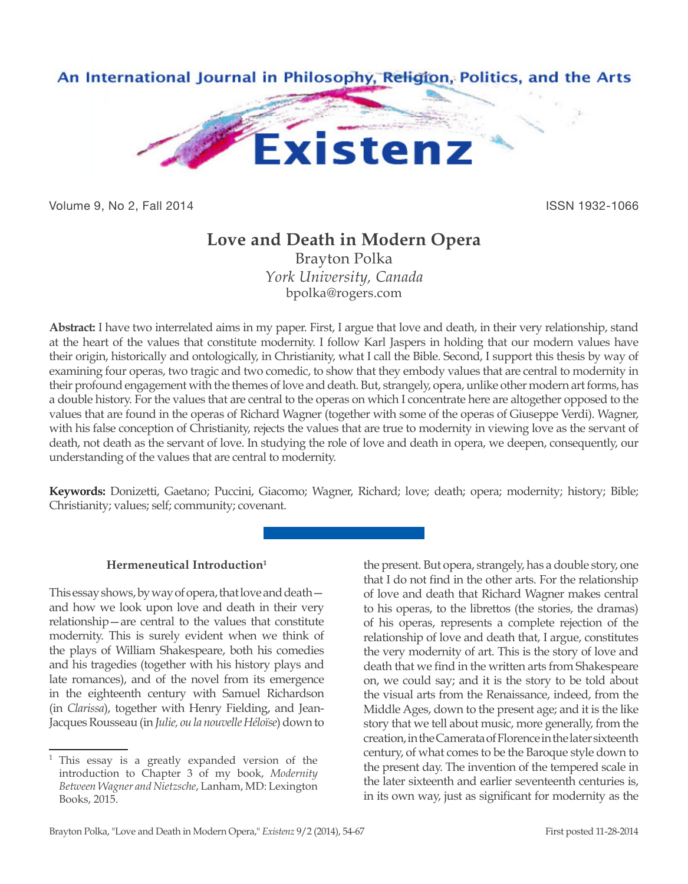

Volume 9, No 2, Fall 2014 **ISSN 1932-1066** 

# **Love and Death in Modern Opera**

Brayton Polka *York University, Canada* bpolka@rogers.com

**Abstract:** I have two interrelated aims in my paper. First, I argue that love and death, in their very relationship, stand at the heart of the values that constitute modernity. I follow Karl Jaspers in holding that our modern values have their origin, historically and ontologically, in Christianity, what I call the Bible. Second, I support this thesis by way of examining four operas, two tragic and two comedic, to show that they embody values that are central to modernity in their profound engagement with the themes of love and death. But, strangely, opera, unlike other modern art forms, has a double history. For the values that are central to the operas on which I concentrate here are altogether opposed to the values that are found in the operas of Richard Wagner (together with some of the operas of Giuseppe Verdi). Wagner, with his false conception of Christianity, rejects the values that are true to modernity in viewing love as the servant of death, not death as the servant of love. In studying the role of love and death in opera, we deepen, consequently, our understanding of the values that are central to modernity.

**Keywords:** Donizetti, Gaetano; Puccini, Giacomo; Wagner, Richard; love; death; opera; modernity; history; Bible; Christianity; values; self; community; covenant.

## **Hermeneutical Introduction1**

This essay shows, by way of opera, that love and death and how we look upon love and death in their very relationship—are central to the values that constitute modernity. This is surely evident when we think of the plays of William Shakespeare, both his comedies and his tragedies (together with his history plays and late romances), and of the novel from its emergence in the eighteenth century with Samuel Richardson (in *Clarissa*), together with Henry Fielding, and Jean-Jacques Rousseau (in *Julie, ou la nouvelle Héloïse*) down to

the present. But opera, strangely, has a double story, one that I do not find in the other arts. For the relationship of love and death that Richard Wagner makes central to his operas, to the librettos (the stories, the dramas) of his operas, represents a complete rejection of the relationship of love and death that, I argue, constitutes the very modernity of art. This is the story of love and death that we find in the written arts from Shakespeare on, we could say; and it is the story to be told about the visual arts from the Renaissance, indeed, from the Middle Ages, down to the present age; and it is the like story that we tell about music, more generally, from the creation, in the Camerata of Florence in the later sixteenth century, of what comes to be the Baroque style down to the present day. The invention of the tempered scale in the later sixteenth and earlier seventeenth centuries is, in its own way, just as significant for modernity as the

<sup>&</sup>lt;sup>1</sup> This essay is a greatly expanded version of the introduction to Chapter 3 of my book, *Modernity Between Wagner and Nietzsche*, Lanham, MD: Lexington Books, 2015.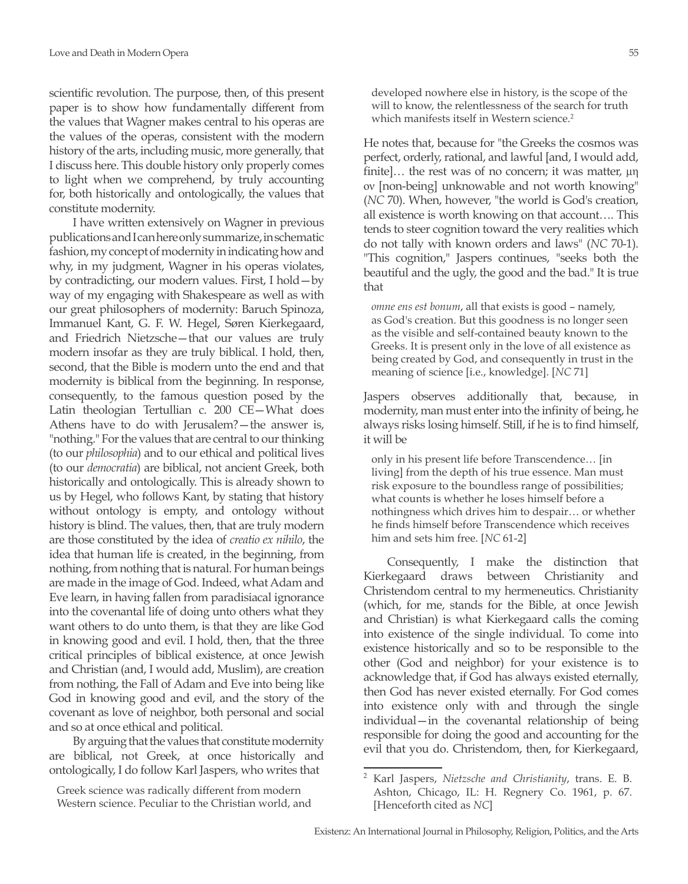scientific revolution. The purpose, then, of this present paper is to show how fundamentally different from the values that Wagner makes central to his operas are the values of the operas, consistent with the modern history of the arts, including music, more generally, that I discuss here. This double history only properly comes to light when we comprehend, by truly accounting for, both historically and ontologically, the values that constitute modernity.

I have written extensively on Wagner in previous publications and I can here only summarize, in schematic fashion, my concept of modernity in indicating how and why, in my judgment, Wagner in his operas violates, by contradicting, our modern values. First, I hold—by way of my engaging with Shakespeare as well as with our great philosophers of modernity: Baruch Spinoza, Immanuel Kant, G. F. W. Hegel, Søren Kierkegaard, and Friedrich Nietzsche—that our values are truly modern insofar as they are truly biblical. I hold, then, second, that the Bible is modern unto the end and that modernity is biblical from the beginning. In response, consequently, to the famous question posed by the Latin theologian Tertullian c. 200 CE—What does Athens have to do with Jerusalem?—the answer is, "nothing." For the values that are central to our thinking (to our *philosophia*) and to our ethical and political lives (to our *democratia*) are biblical, not ancient Greek, both historically and ontologically. This is already shown to us by Hegel, who follows Kant, by stating that history without ontology is empty, and ontology without history is blind. The values, then, that are truly modern are those constituted by the idea of *creatio ex nihilo*, the idea that human life is created, in the beginning, from nothing, from nothing that is natural. For human beings are made in the image of God. Indeed, what Adam and Eve learn, in having fallen from paradisiacal ignorance into the covenantal life of doing unto others what they want others to do unto them, is that they are like God in knowing good and evil. I hold, then, that the three critical principles of biblical existence, at once Jewish and Christian (and, I would add, Muslim), are creation from nothing, the Fall of Adam and Eve into being like God in knowing good and evil, and the story of the covenant as love of neighbor, both personal and social and so at once ethical and political.

By arguing that the values that constitute modernity are biblical, not Greek, at once historically and ontologically, I do follow Karl Jaspers, who writes that

Greek science was radically different from modern Western science. Peculiar to the Christian world, and developed nowhere else in history, is the scope of the will to know, the relentlessness of the search for truth which manifests itself in Western science.<sup>2</sup>

He notes that, because for "the Greeks the cosmos was perfect, orderly, rational, and lawful [and, I would add, finite]… the rest was of no concern; it was matter, μη ον [non-being] unknowable and not worth knowing" (*NC* 70). When, however, "the world is God's creation, all existence is worth knowing on that account…. This tends to steer cognition toward the very realities which do not tally with known orders and laws" (*NC* 70-1). "This cognition," Jaspers continues, "seeks both the beautiful and the ugly, the good and the bad." It is true that

*omne ens est bonum*, all that exists is good – namely, as God's creation. But this goodness is no longer seen as the visible and self-contained beauty known to the Greeks. It is present only in the love of all existence as being created by God, and consequently in trust in the meaning of science [i.e., knowledge]. [*NC* 71]

Jaspers observes additionally that, because, in modernity, man must enter into the infinity of being, he always risks losing himself. Still, if he is to find himself, it will be

only in his present life before Transcendence… [in living] from the depth of his true essence. Man must risk exposure to the boundless range of possibilities; what counts is whether he loses himself before a nothingness which drives him to despair… or whether he finds himself before Transcendence which receives him and sets him free. [*NC* 61-2]

Consequently, I make the distinction that Kierkegaard draws between Christianity and Christendom central to my hermeneutics. Christianity (which, for me, stands for the Bible, at once Jewish and Christian) is what Kierkegaard calls the coming into existence of the single individual. To come into existence historically and so to be responsible to the other (God and neighbor) for your existence is to acknowledge that, if God has always existed eternally, then God has never existed eternally. For God comes into existence only with and through the single individual—in the covenantal relationship of being responsible for doing the good and accounting for the evil that you do. Christendom, then, for Kierkegaard,

<sup>2</sup> Karl Jaspers, *Nietzsche and Christianity*, trans. E. B. Ashton, Chicago, IL: H. Regnery Co. 1961, p. 67. [Henceforth cited as *NC*]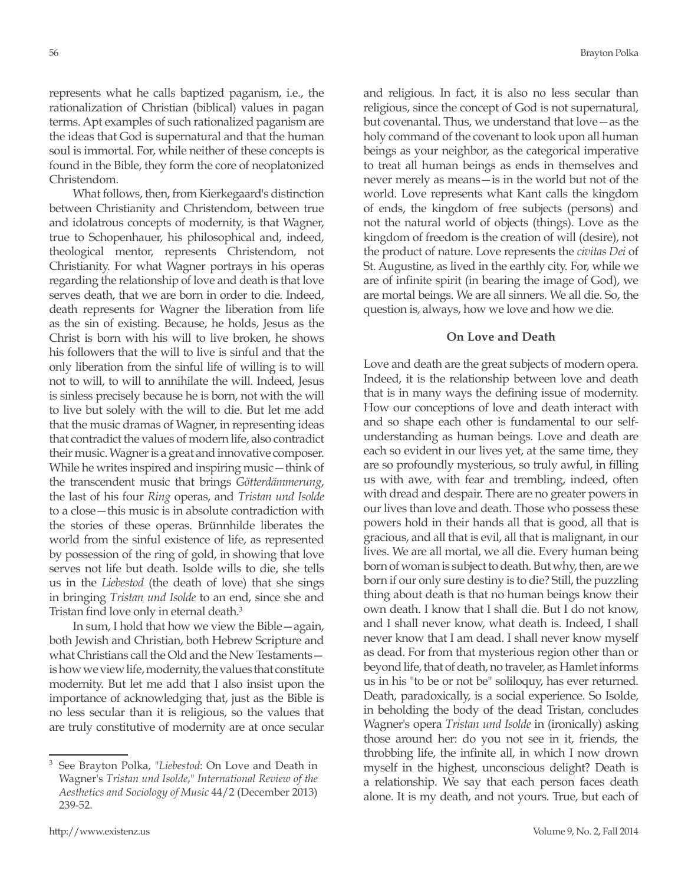represents what he calls baptized paganism, i.e., the rationalization of Christian (biblical) values in pagan terms. Apt examples of such rationalized paganism are the ideas that God is supernatural and that the human soul is immortal. For, while neither of these concepts is found in the Bible, they form the core of neoplatonized Christendom.

What follows, then, from Kierkegaard's distinction between Christianity and Christendom, between true and idolatrous concepts of modernity, is that Wagner, true to Schopenhauer, his philosophical and, indeed, theological mentor, represents Christendom, not Christianity. For what Wagner portrays in his operas regarding the relationship of love and death is that love serves death, that we are born in order to die. Indeed, death represents for Wagner the liberation from life as the sin of existing. Because, he holds, Jesus as the Christ is born with his will to live broken, he shows his followers that the will to live is sinful and that the only liberation from the sinful life of willing is to will not to will, to will to annihilate the will. Indeed, Jesus is sinless precisely because he is born, not with the will to live but solely with the will to die. But let me add that the music dramas of Wagner, in representing ideas that contradict the values of modern life, also contradict their music. Wagner is a great and innovative composer. While he writes inspired and inspiring music—think of the transcendent music that brings *Götterdämmerung*, the last of his four *Ring* operas, and *Tristan und Isolde* to a close—this music is in absolute contradiction with the stories of these operas. Brünnhilde liberates the world from the sinful existence of life, as represented by possession of the ring of gold, in showing that love serves not life but death. Isolde wills to die, she tells us in the *Liebestod* (the death of love) that she sings in bringing *Tristan und Isolde* to an end, since she and Tristan find love only in eternal death.<sup>3</sup>

In sum, I hold that how we view the Bible—again, both Jewish and Christian, both Hebrew Scripture and what Christians call the Old and the New Testaments is how we view life, modernity, the values that constitute modernity. But let me add that I also insist upon the importance of acknowledging that, just as the Bible is no less secular than it is religious, so the values that are truly constitutive of modernity are at once secular

<sup>3</sup> See Brayton Polka, "*Liebestod*: On Love and Death in Wagner's *Tristan und Isolde*," *International Review of the Aesthetics and Sociology of Music* 44/2 (December 2013) 239-52.

and religious. In fact, it is also no less secular than religious, since the concept of God is not supernatural, but covenantal. Thus, we understand that love—as the holy command of the covenant to look upon all human beings as your neighbor, as the categorical imperative to treat all human beings as ends in themselves and never merely as means—is in the world but not of the world. Love represents what Kant calls the kingdom of ends, the kingdom of free subjects (persons) and not the natural world of objects (things). Love as the kingdom of freedom is the creation of will (desire), not the product of nature. Love represents the *civitas Dei* of St. Augustine, as lived in the earthly city. For, while we are of infinite spirit (in bearing the image of God), we are mortal beings. We are all sinners. We all die. So, the question is, always, how we love and how we die.

#### **On Love and Death**

Love and death are the great subjects of modern opera. Indeed, it is the relationship between love and death that is in many ways the defining issue of modernity. How our conceptions of love and death interact with and so shape each other is fundamental to our selfunderstanding as human beings. Love and death are each so evident in our lives yet, at the same time, they are so profoundly mysterious, so truly awful, in filling us with awe, with fear and trembling, indeed, often with dread and despair. There are no greater powers in our lives than love and death. Those who possess these powers hold in their hands all that is good, all that is gracious, and all that is evil, all that is malignant, in our lives. We are all mortal, we all die. Every human being born of woman is subject to death. But why, then, are we born if our only sure destiny is to die? Still, the puzzling thing about death is that no human beings know their own death. I know that I shall die. But I do not know, and I shall never know, what death is. Indeed, I shall never know that I am dead. I shall never know myself as dead. For from that mysterious region other than or beyond life, that of death, no traveler, as Hamlet informs us in his "to be or not be" soliloquy, has ever returned. Death, paradoxically, is a social experience. So Isolde, in beholding the body of the dead Tristan, concludes Wagner's opera *Tristan und Isolde* in (ironically) asking those around her: do you not see in it, friends, the throbbing life, the infinite all, in which I now drown myself in the highest, unconscious delight? Death is a relationship. We say that each person faces death alone. It is my death, and not yours. True, but each of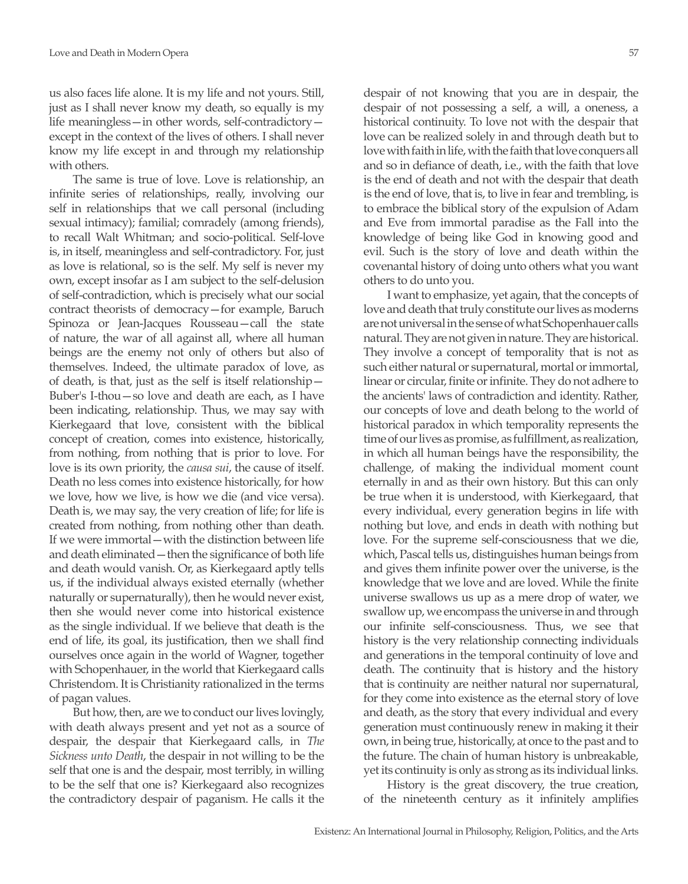us also faces life alone. It is my life and not yours. Still, just as I shall never know my death, so equally is my life meaningless—in other words, self-contradictory except in the context of the lives of others. I shall never know my life except in and through my relationship with others.

The same is true of love. Love is relationship, an infinite series of relationships, really, involving our self in relationships that we call personal (including sexual intimacy); familial; comradely (among friends), to recall Walt Whitman; and socio-political. Self-love is, in itself, meaningless and self-contradictory. For, just as love is relational, so is the self. My self is never my own, except insofar as I am subject to the self-delusion of self-contradiction, which is precisely what our social contract theorists of democracy—for example, Baruch Spinoza or Jean-Jacques Rousseau—call the state of nature, the war of all against all, where all human beings are the enemy not only of others but also of themselves. Indeed, the ultimate paradox of love, as of death, is that, just as the self is itself relationship— Buber's I-thou—so love and death are each, as I have been indicating, relationship. Thus, we may say with Kierkegaard that love, consistent with the biblical concept of creation, comes into existence, historically, from nothing, from nothing that is prior to love. For love is its own priority, the *causa sui*, the cause of itself. Death no less comes into existence historically, for how we love, how we live, is how we die (and vice versa). Death is, we may say, the very creation of life; for life is created from nothing, from nothing other than death. If we were immortal—with the distinction between life and death eliminated—then the significance of both life and death would vanish. Or, as Kierkegaard aptly tells us, if the individual always existed eternally (whether naturally or supernaturally), then he would never exist, then she would never come into historical existence as the single individual. If we believe that death is the end of life, its goal, its justification, then we shall find ourselves once again in the world of Wagner, together with Schopenhauer, in the world that Kierkegaard calls Christendom. It is Christianity rationalized in the terms of pagan values.

But how, then, are we to conduct our lives lovingly, with death always present and yet not as a source of despair, the despair that Kierkegaard calls, in *The Sickness unto Death*, the despair in not willing to be the self that one is and the despair, most terribly, in willing to be the self that one is? Kierkegaard also recognizes the contradictory despair of paganism. He calls it the

despair of not knowing that you are in despair, the despair of not possessing a self, a will, a oneness, a historical continuity. To love not with the despair that love can be realized solely in and through death but to love with faith in life, with the faith that love conquers all and so in defiance of death, i.e., with the faith that love is the end of death and not with the despair that death is the end of love, that is, to live in fear and trembling, is to embrace the biblical story of the expulsion of Adam and Eve from immortal paradise as the Fall into the knowledge of being like God in knowing good and evil. Such is the story of love and death within the covenantal history of doing unto others what you want others to do unto you.

I want to emphasize, yet again, that the concepts of love and death that truly constitute our lives as moderns are not universal in the sense of what Schopenhauer calls natural. They are not given in nature. They are historical. They involve a concept of temporality that is not as such either natural or supernatural, mortal or immortal, linear or circular, finite or infinite. They do not adhere to the ancients' laws of contradiction and identity. Rather, our concepts of love and death belong to the world of historical paradox in which temporality represents the time of our lives as promise, as fulfillment, as realization, in which all human beings have the responsibility, the challenge, of making the individual moment count eternally in and as their own history. But this can only be true when it is understood, with Kierkegaard, that every individual, every generation begins in life with nothing but love, and ends in death with nothing but love. For the supreme self-consciousness that we die, which, Pascal tells us, distinguishes human beings from and gives them infinite power over the universe, is the knowledge that we love and are loved. While the finite universe swallows us up as a mere drop of water, we swallow up, we encompass the universe in and through our infinite self-consciousness. Thus, we see that history is the very relationship connecting individuals and generations in the temporal continuity of love and death. The continuity that is history and the history that is continuity are neither natural nor supernatural, for they come into existence as the eternal story of love and death, as the story that every individual and every generation must continuously renew in making it their own, in being true, historically, at once to the past and to the future. The chain of human history is unbreakable, yet its continuity is only as strong as its individual links.

History is the great discovery, the true creation, of the nineteenth century as it infinitely amplifies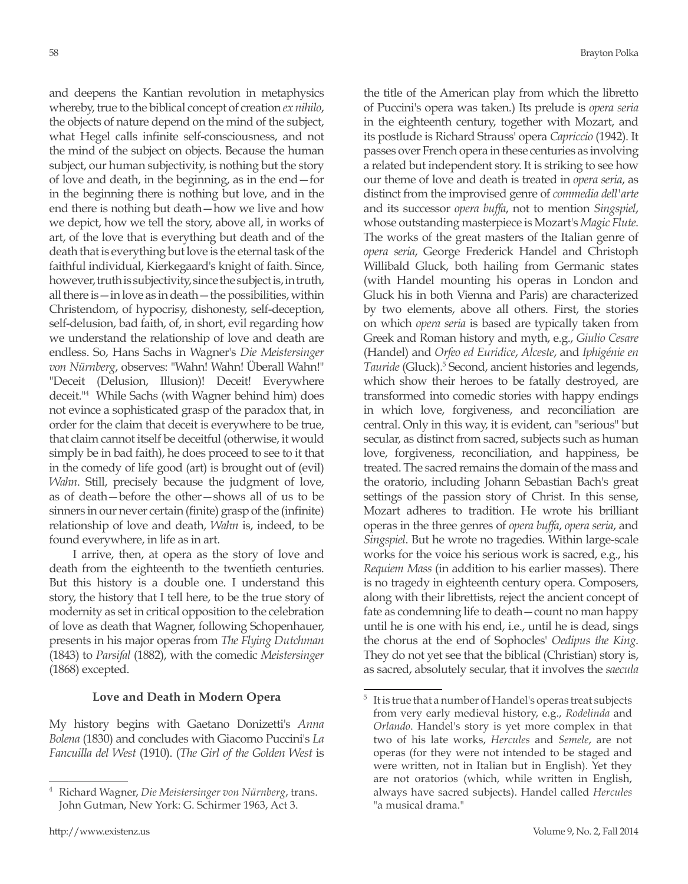and deepens the Kantian revolution in metaphysics whereby, true to the biblical concept of creation *ex nihilo*, the objects of nature depend on the mind of the subject, what Hegel calls infinite self-consciousness, and not the mind of the subject on objects. Because the human subject, our human subjectivity, is nothing but the story of love and death, in the beginning, as in the end—for in the beginning there is nothing but love, and in the end there is nothing but death—how we live and how we depict, how we tell the story, above all, in works of art, of the love that is everything but death and of the death that is everything but love is the eternal task of the faithful individual, Kierkegaard's knight of faith. Since, however, truth is subjectivity, since the subject is, in truth, all there is—in love as in death—the possibilities, within Christendom, of hypocrisy, dishonesty, self-deception, self-delusion, bad faith, of, in short, evil regarding how we understand the relationship of love and death are endless. So, Hans Sachs in Wagner's *Die Meistersinger von Nürnberg*, observes: "Wahn! Wahn! Überall Wahn!" "Deceit (Delusion, Illusion)! Deceit! Everywhere deceit."4 While Sachs (with Wagner behind him) does not evince a sophisticated grasp of the paradox that, in order for the claim that deceit is everywhere to be true, that claim cannot itself be deceitful (otherwise, it would simply be in bad faith), he does proceed to see to it that in the comedy of life good (art) is brought out of (evil) *Wahn*. Still, precisely because the judgment of love, as of death—before the other—shows all of us to be sinners in our never certain (finite) grasp of the (infinite) relationship of love and death, *Wahn* is, indeed, to be found everywhere, in life as in art.

I arrive, then, at opera as the story of love and death from the eighteenth to the twentieth centuries. But this history is a double one. I understand this story, the history that I tell here, to be the true story of modernity as set in critical opposition to the celebration of love as death that Wagner, following Schopenhauer, presents in his major operas from *The Flying Dutchman* (1843) to *Parsifal* (1882), with the comedic *Meistersinger*  (1868) excepted.

#### **Love and Death in Modern Opera**

My history begins with Gaetano Donizetti's *Anna Bolena* (1830) and concludes with Giacomo Puccini's *La Fancuilla del West* (1910). (*The Girl of the Golden West* is

the title of the American play from which the libretto of Puccini's opera was taken.) Its prelude is *opera seria* in the eighteenth century, together with Mozart, and its postlude is Richard Strauss' opera *Capriccio* (1942). It passes over French opera in these centuries as involving a related but independent story. It is striking to see how our theme of love and death is treated in *opera seria*, as distinct from the improvised genre of *commedia dell'arte* and its successor *opera buffa*, not to mention *Singspiel*, whose outstanding masterpiece is Mozart's *Magic Flute*. The works of the great masters of the Italian genre of *opera seria*, George Frederick Handel and Christoph Willibald Gluck, both hailing from Germanic states (with Handel mounting his operas in London and Gluck his in both Vienna and Paris) are characterized by two elements, above all others. First, the stories on which *opera seria* is based are typically taken from Greek and Roman history and myth, e.g., *Giulio Cesare* (Handel) and *Orfeo ed Euridice*, *Alceste*, and *Iphigénie en*  Tauride (Gluck).<sup>5</sup> Second, ancient histories and legends, which show their heroes to be fatally destroyed, are transformed into comedic stories with happy endings in which love, forgiveness, and reconciliation are central. Only in this way, it is evident, can "serious" but secular, as distinct from sacred, subjects such as human love, forgiveness, reconciliation, and happiness, be treated. The sacred remains the domain of the mass and the oratorio, including Johann Sebastian Bach's great settings of the passion story of Christ. In this sense, Mozart adheres to tradition. He wrote his brilliant operas in the three genres of *opera buffa*, *opera seria*, and *Singspiel*. But he wrote no tragedies. Within large-scale works for the voice his serious work is sacred, e.g., his *Requiem Mass* (in addition to his earlier masses). There is no tragedy in eighteenth century opera. Composers, along with their librettists, reject the ancient concept of fate as condemning life to death—count no man happy until he is one with his end, i.e., until he is dead, sings the chorus at the end of Sophocles' *Oedipus the King*. They do not yet see that the biblical (Christian) story is, as sacred, absolutely secular, that it involves the *saecula* 

<sup>4</sup> Richard Wagner, *Die Meistersinger von Nürnberg*, trans. John Gutman, New York: G. Schirmer 1963, Act 3.

 $5$  It is true that a number of Handel's operas treat subjects from very early medieval history, e.g., *Rodelinda* and *Orlando*. Handel's story is yet more complex in that two of his late works, *Hercules* and *Semele*, are not operas (for they were not intended to be staged and were written, not in Italian but in English). Yet they are not oratorios (which, while written in English, always have sacred subjects). Handel called *Hercules* "a musical drama."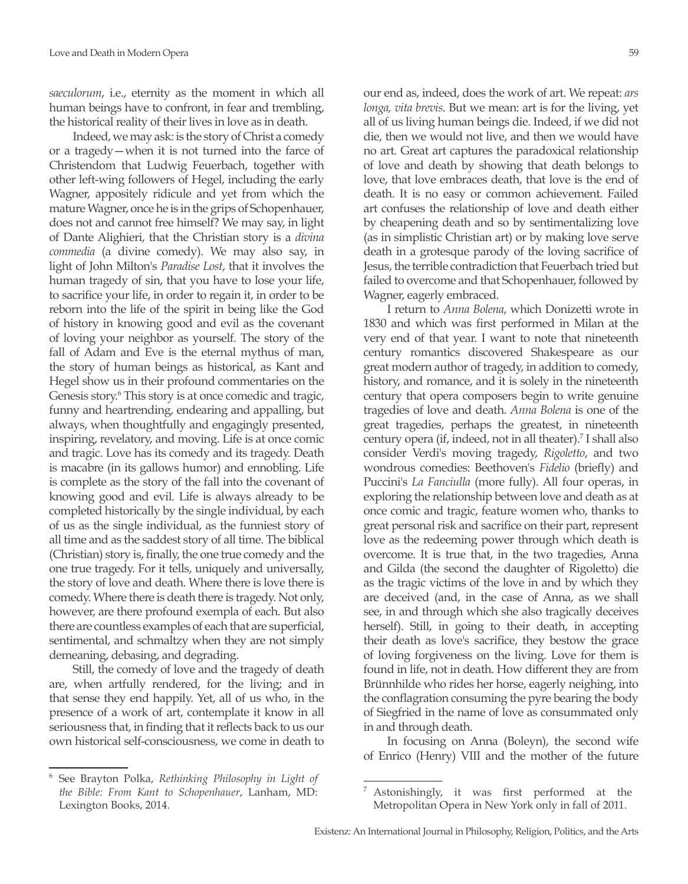*saeculorum*, i.e., eternity as the moment in which all human beings have to confront, in fear and trembling, the historical reality of their lives in love as in death.

Indeed, we may ask: is the story of Christ a comedy or a tragedy—when it is not turned into the farce of Christendom that Ludwig Feuerbach, together with other left-wing followers of Hegel, including the early Wagner, appositely ridicule and yet from which the mature Wagner, once he is in the grips of Schopenhauer, does not and cannot free himself? We may say, in light of Dante Alighieri, that the Christian story is a *divina commedia* (a divine comedy). We may also say, in light of John Milton's *Paradise Lost*, that it involves the human tragedy of sin, that you have to lose your life, to sacrifice your life, in order to regain it, in order to be reborn into the life of the spirit in being like the God of history in knowing good and evil as the covenant of loving your neighbor as yourself. The story of the fall of Adam and Eve is the eternal mythus of man, the story of human beings as historical, as Kant and Hegel show us in their profound commentaries on the Genesis story.<sup>6</sup> This story is at once comedic and tragic, funny and heartrending, endearing and appalling, but always, when thoughtfully and engagingly presented, inspiring, revelatory, and moving. Life is at once comic and tragic. Love has its comedy and its tragedy. Death is macabre (in its gallows humor) and ennobling. Life is complete as the story of the fall into the covenant of knowing good and evil. Life is always already to be completed historically by the single individual, by each of us as the single individual, as the funniest story of all time and as the saddest story of all time. The biblical (Christian) story is, finally, the one true comedy and the one true tragedy. For it tells, uniquely and universally, the story of love and death. Where there is love there is comedy. Where there is death there is tragedy. Not only, however, are there profound exempla of each. But also there are countless examples of each that are superficial, sentimental, and schmaltzy when they are not simply demeaning, debasing, and degrading.

Still, the comedy of love and the tragedy of death are, when artfully rendered, for the living; and in that sense they end happily. Yet, all of us who, in the presence of a work of art, contemplate it know in all seriousness that, in finding that it reflects back to us our own historical self-consciousness, we come in death to our end as, indeed, does the work of art. We repeat: *ars longa, vita brevis*. But we mean: art is for the living, yet all of us living human beings die. Indeed, if we did not die, then we would not live, and then we would have no art. Great art captures the paradoxical relationship of love and death by showing that death belongs to love, that love embraces death, that love is the end of death. It is no easy or common achievement. Failed art confuses the relationship of love and death either by cheapening death and so by sentimentalizing love (as in simplistic Christian art) or by making love serve death in a grotesque parody of the loving sacrifice of Jesus, the terrible contradiction that Feuerbach tried but failed to overcome and that Schopenhauer, followed by Wagner, eagerly embraced.

I return to *Anna Bolena*, which Donizetti wrote in 1830 and which was first performed in Milan at the very end of that year. I want to note that nineteenth century romantics discovered Shakespeare as our great modern author of tragedy, in addition to comedy, history, and romance, and it is solely in the nineteenth century that opera composers begin to write genuine tragedies of love and death. *Anna Bolena* is one of the great tragedies, perhaps the greatest, in nineteenth century opera (if, indeed, not in all theater).7 I shall also consider Verdi's moving tragedy, *Rigoletto*, and two wondrous comedies: Beethoven's *Fidelio* (briefly) and Puccini's *La Fanciulla* (more fully). All four operas, in exploring the relationship between love and death as at once comic and tragic, feature women who, thanks to great personal risk and sacrifice on their part, represent love as the redeeming power through which death is overcome. It is true that, in the two tragedies, Anna and Gilda (the second the daughter of Rigoletto) die as the tragic victims of the love in and by which they are deceived (and, in the case of Anna, as we shall see, in and through which she also tragically deceives herself). Still, in going to their death, in accepting their death as love's sacrifice, they bestow the grace of loving forgiveness on the living. Love for them is found in life, not in death. How different they are from Brünnhilde who rides her horse, eagerly neighing, into the conflagration consuming the pyre bearing the body of Siegfried in the name of love as consummated only in and through death.

In focusing on Anna (Boleyn), the second wife of Enrico (Henry) VIII and the mother of the future

<sup>6</sup> See Brayton Polka, *Rethinking Philosophy in Light of the Bible: From Kant to Schopenhauer*, Lanham, MD: Lexington Books, 2014.

<sup>&</sup>lt;sup>7</sup> Astonishingly, it was first performed at the Metropolitan Opera in New York only in fall of 2011.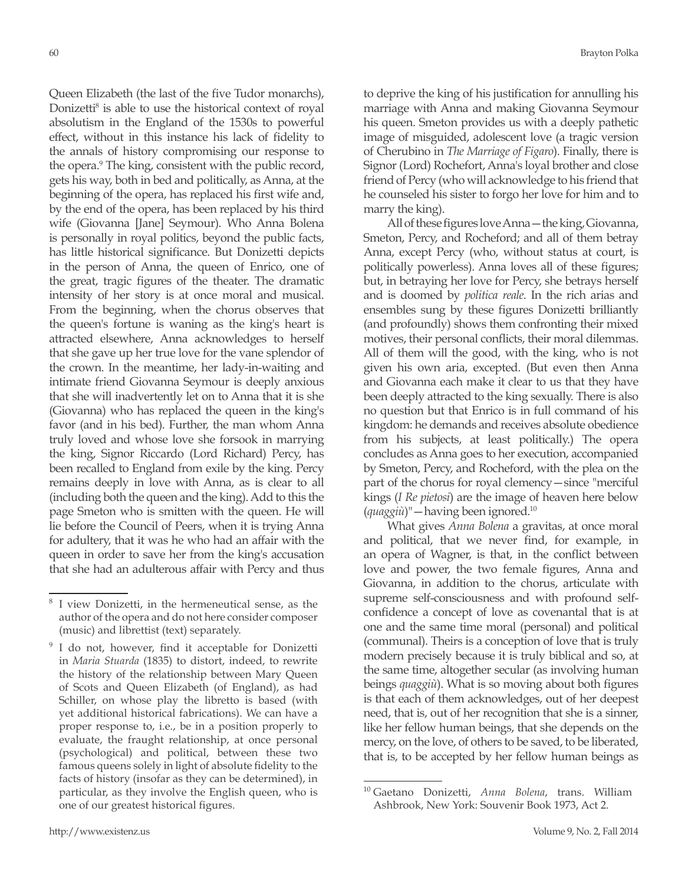Queen Elizabeth (the last of the five Tudor monarchs), Donizetti<sup>8</sup> is able to use the historical context of royal absolutism in the England of the 1530s to powerful effect, without in this instance his lack of fidelity to the annals of history compromising our response to the opera.<sup>9</sup> The king, consistent with the public record, gets his way, both in bed and politically, as Anna, at the beginning of the opera, has replaced his first wife and, by the end of the opera, has been replaced by his third wife (Giovanna [Jane] Seymour). Who Anna Bolena is personally in royal politics, beyond the public facts, has little historical significance. But Donizetti depicts in the person of Anna, the queen of Enrico, one of the great, tragic figures of the theater. The dramatic intensity of her story is at once moral and musical. From the beginning, when the chorus observes that the queen's fortune is waning as the king's heart is attracted elsewhere, Anna acknowledges to herself that she gave up her true love for the vane splendor of the crown. In the meantime, her lady-in-waiting and intimate friend Giovanna Seymour is deeply anxious that she will inadvertently let on to Anna that it is she (Giovanna) who has replaced the queen in the king's favor (and in his bed). Further, the man whom Anna truly loved and whose love she forsook in marrying the king, Signor Riccardo (Lord Richard) Percy, has been recalled to England from exile by the king. Percy remains deeply in love with Anna, as is clear to all (including both the queen and the king). Add to this the page Smeton who is smitten with the queen. He will lie before the Council of Peers, when it is trying Anna for adultery, that it was he who had an affair with the queen in order to save her from the king's accusation that she had an adulterous affair with Percy and thus

to deprive the king of his justification for annulling his marriage with Anna and making Giovanna Seymour his queen. Smeton provides us with a deeply pathetic image of misguided, adolescent love (a tragic version of Cherubino in *The Marriage of Figaro*). Finally, there is Signor (Lord) Rochefort, Anna's loyal brother and close friend of Percy (who will acknowledge to his friend that he counseled his sister to forgo her love for him and to marry the king).

All of these figures love Anna—the king, Giovanna, Smeton, Percy, and Rocheford; and all of them betray Anna, except Percy (who, without status at court, is politically powerless). Anna loves all of these figures; but, in betraying her love for Percy, she betrays herself and is doomed by *politica reale*. In the rich arias and ensembles sung by these figures Donizetti brilliantly (and profoundly) shows them confronting their mixed motives, their personal conflicts, their moral dilemmas. All of them will the good, with the king, who is not given his own aria, excepted. (But even then Anna and Giovanna each make it clear to us that they have been deeply attracted to the king sexually. There is also no question but that Enrico is in full command of his kingdom: he demands and receives absolute obedience from his subjects, at least politically.) The opera concludes as Anna goes to her execution, accompanied by Smeton, Percy, and Rocheford, with the plea on the part of the chorus for royal clemency—since "merciful kings (*I Re pietosi*) are the image of heaven here below (*quaggiù*)"—having been ignored.10

What gives *Anna Bolena* a gravitas, at once moral and political, that we never find, for example, in an opera of Wagner, is that, in the conflict between love and power, the two female figures, Anna and Giovanna, in addition to the chorus, articulate with supreme self-consciousness and with profound selfconfidence a concept of love as covenantal that is at one and the same time moral (personal) and political (communal). Theirs is a conception of love that is truly modern precisely because it is truly biblical and so, at the same time, altogether secular (as involving human beings *quaggiù*). What is so moving about both figures is that each of them acknowledges, out of her deepest need, that is, out of her recognition that she is a sinner, like her fellow human beings, that she depends on the mercy, on the love, of others to be saved, to be liberated, that is, to be accepted by her fellow human beings as

<sup>8</sup> I view Donizetti, in the hermeneutical sense, as the author of the opera and do not here consider composer (music) and librettist (text) separately.

<sup>&</sup>lt;sup>9</sup> I do not, however, find it acceptable for Donizetti in *Maria Stuarda* (1835) to distort, indeed, to rewrite the history of the relationship between Mary Queen of Scots and Queen Elizabeth (of England), as had Schiller, on whose play the libretto is based (with yet additional historical fabrications). We can have a proper response to, i.e., be in a position properly to evaluate, the fraught relationship, at once personal (psychological) and political, between these two famous queens solely in light of absolute fidelity to the facts of history (insofar as they can be determined), in particular, as they involve the English queen, who is one of our greatest historical figures.

<sup>10</sup> Gaetano Donizetti, *Anna Bolena*, trans. William Ashbrook, New York: Souvenir Book 1973, Act 2.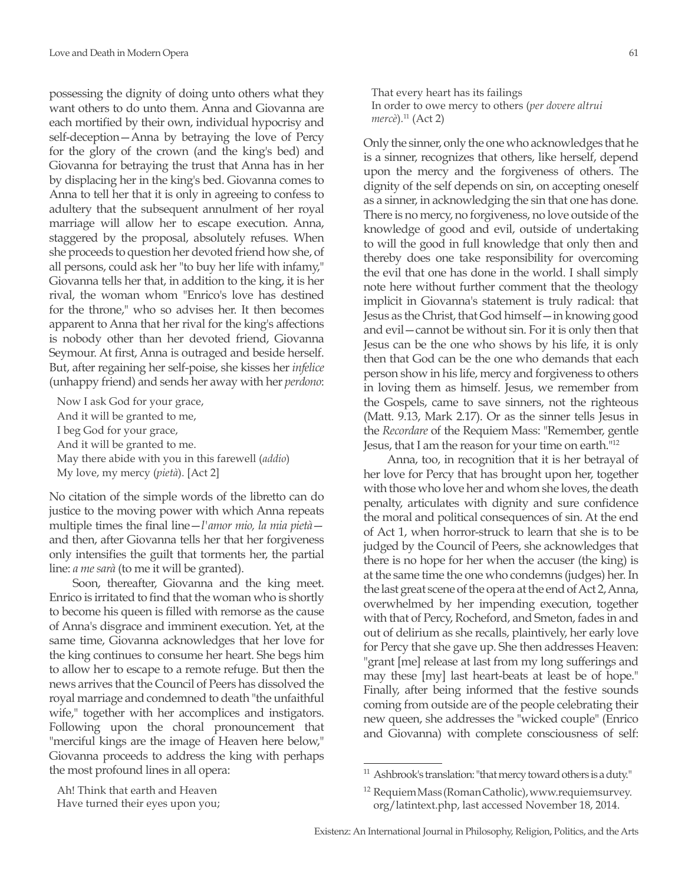possessing the dignity of doing unto others what they want others to do unto them. Anna and Giovanna are each mortified by their own, individual hypocrisy and self-deception—Anna by betraying the love of Percy for the glory of the crown (and the king's bed) and Giovanna for betraying the trust that Anna has in her by displacing her in the king's bed. Giovanna comes to Anna to tell her that it is only in agreeing to confess to adultery that the subsequent annulment of her royal marriage will allow her to escape execution. Anna, staggered by the proposal, absolutely refuses. When she proceeds to question her devoted friend how she, of all persons, could ask her "to buy her life with infamy," Giovanna tells her that, in addition to the king, it is her rival, the woman whom "Enrico's love has destined for the throne," who so advises her. It then becomes apparent to Anna that her rival for the king's affections is nobody other than her devoted friend, Giovanna Seymour. At first, Anna is outraged and beside herself. But, after regaining her self-poise, she kisses her *infelice* (unhappy friend) and sends her away with her *perdono*:

Now I ask God for your grace, And it will be granted to me, I beg God for your grace, And it will be granted to me. May there abide with you in this farewell (*addio*) My love, my mercy (*pietà*). [Act 2]

No citation of the simple words of the libretto can do justice to the moving power with which Anna repeats multiple times the final line—*l'amor mio, la mia pietà* and then, after Giovanna tells her that her forgiveness only intensifies the guilt that torments her, the partial line: *a me sarà* (to me it will be granted).

Soon, thereafter, Giovanna and the king meet. Enrico is irritated to find that the woman who is shortly to become his queen is filled with remorse as the cause of Anna's disgrace and imminent execution. Yet, at the same time, Giovanna acknowledges that her love for the king continues to consume her heart. She begs him to allow her to escape to a remote refuge. But then the news arrives that the Council of Peers has dissolved the royal marriage and condemned to death "the unfaithful wife," together with her accomplices and instigators. Following upon the choral pronouncement that "merciful kings are the image of Heaven here below," Giovanna proceeds to address the king with perhaps the most profound lines in all opera:

Ah! Think that earth and Heaven

That every heart has its failings In order to owe mercy to others (*per dovere altrui mercè*).11 (Act 2)

Only the sinner, only the one who acknowledges that he is a sinner, recognizes that others, like herself, depend upon the mercy and the forgiveness of others. The dignity of the self depends on sin, on accepting oneself as a sinner, in acknowledging the sin that one has done. There is no mercy, no forgiveness, no love outside of the knowledge of good and evil, outside of undertaking to will the good in full knowledge that only then and thereby does one take responsibility for overcoming the evil that one has done in the world. I shall simply note here without further comment that the theology implicit in Giovanna's statement is truly radical: that Jesus as the Christ, that God himself—in knowing good and evil—cannot be without sin. For it is only then that Jesus can be the one who shows by his life, it is only then that God can be the one who demands that each person show in his life, mercy and forgiveness to others in loving them as himself. Jesus, we remember from the Gospels, came to save sinners, not the righteous (Matt. 9.13, Mark 2.17). Or as the sinner tells Jesus in the *Recordare* of the Requiem Mass: "Remember, gentle Jesus, that I am the reason for your time on earth."12

Anna, too, in recognition that it is her betrayal of her love for Percy that has brought upon her, together with those who love her and whom she loves, the death penalty, articulates with dignity and sure confidence the moral and political consequences of sin. At the end of Act 1, when horror-struck to learn that she is to be judged by the Council of Peers, she acknowledges that there is no hope for her when the accuser (the king) is at the same time the one who condemns (judges) her. In the last great scene of the opera at the end of Act 2, Anna, overwhelmed by her impending execution, together with that of Percy, Rocheford, and Smeton, fades in and out of delirium as she recalls, plaintively, her early love for Percy that she gave up. She then addresses Heaven: "grant [me] release at last from my long sufferings and may these [my] last heart-beats at least be of hope." Finally, after being informed that the festive sounds coming from outside are of the people celebrating their new queen, she addresses the "wicked couple" (Enrico and Giovanna) with complete consciousness of self:

Have turned their eyes upon you;

<sup>11</sup> Ashbrook's translation: "that mercy toward others is a duty."

<sup>&</sup>lt;sup>12</sup> Requiem Mass (Roman Catholic), www.requiemsurvey. org/latintext.php, last accessed November 18, 2014.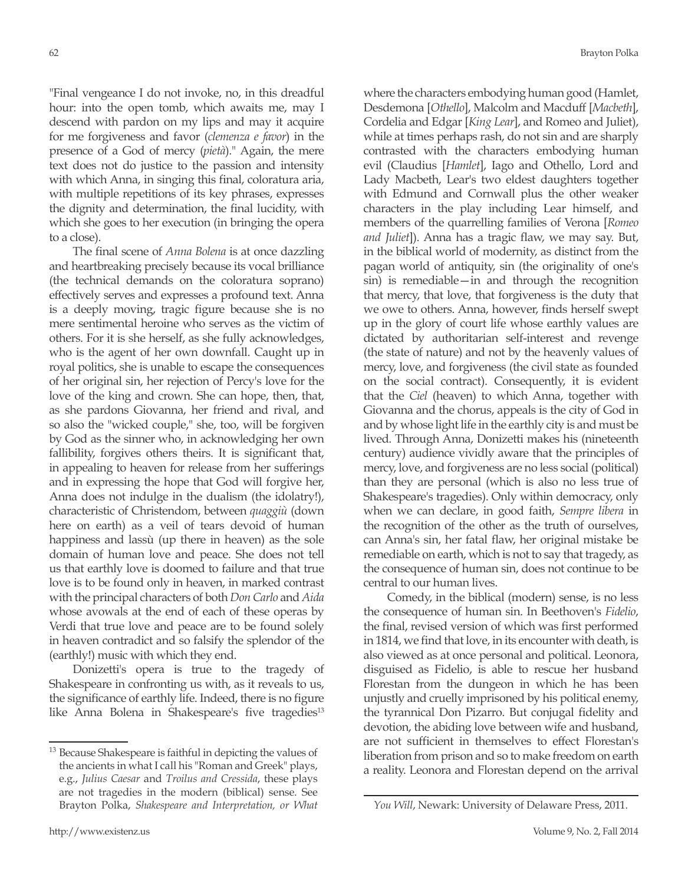"Final vengeance I do not invoke, no, in this dreadful hour: into the open tomb, which awaits me, may I descend with pardon on my lips and may it acquire for me forgiveness and favor (*clemenza e favor*) in the presence of a God of mercy (*pietà*)." Again, the mere text does not do justice to the passion and intensity with which Anna, in singing this final, coloratura aria, with multiple repetitions of its key phrases, expresses the dignity and determination, the final lucidity, with which she goes to her execution (in bringing the opera to a close).

The final scene of *Anna Bolena* is at once dazzling and heartbreaking precisely because its vocal brilliance (the technical demands on the coloratura soprano) effectively serves and expresses a profound text. Anna is a deeply moving, tragic figure because she is no mere sentimental heroine who serves as the victim of others. For it is she herself, as she fully acknowledges, who is the agent of her own downfall. Caught up in royal politics, she is unable to escape the consequences of her original sin, her rejection of Percy's love for the love of the king and crown. She can hope, then, that, as she pardons Giovanna, her friend and rival, and so also the "wicked couple," she, too, will be forgiven by God as the sinner who, in acknowledging her own fallibility, forgives others theirs. It is significant that, in appealing to heaven for release from her sufferings and in expressing the hope that God will forgive her, Anna does not indulge in the dualism (the idolatry!), characteristic of Christendom, between *quaggiù* (down here on earth) as a veil of tears devoid of human happiness and lassù (up there in heaven) as the sole domain of human love and peace. She does not tell us that earthly love is doomed to failure and that true love is to be found only in heaven, in marked contrast with the principal characters of both *Don Carlo* and *Aida* whose avowals at the end of each of these operas by Verdi that true love and peace are to be found solely in heaven contradict and so falsify the splendor of the (earthly!) music with which they end.

Donizetti's opera is true to the tragedy of Shakespeare in confronting us with, as it reveals to us, the significance of earthly life. Indeed, there is no figure like Anna Bolena in Shakespeare's five tragedies<sup>13</sup>

where the characters embodying human good (Hamlet, Desdemona [*Othello*], Malcolm and Macduff [*Macbeth*], Cordelia and Edgar [*King Lear*], and Romeo and Juliet), while at times perhaps rash, do not sin and are sharply contrasted with the characters embodying human evil (Claudius [*Hamlet*], Iago and Othello, Lord and Lady Macbeth, Lear's two eldest daughters together with Edmund and Cornwall plus the other weaker characters in the play including Lear himself, and members of the quarrelling families of Verona [*Romeo and Juliet*]). Anna has a tragic flaw, we may say. But, in the biblical world of modernity, as distinct from the pagan world of antiquity, sin (the originality of one's sin) is remediable—in and through the recognition that mercy, that love, that forgiveness is the duty that we owe to others. Anna, however, finds herself swept up in the glory of court life whose earthly values are dictated by authoritarian self-interest and revenge (the state of nature) and not by the heavenly values of mercy, love, and forgiveness (the civil state as founded on the social contract). Consequently, it is evident that the *Ciel* (heaven) to which Anna, together with Giovanna and the chorus, appeals is the city of God in and by whose light life in the earthly city is and must be lived. Through Anna, Donizetti makes his (nineteenth century) audience vividly aware that the principles of mercy, love, and forgiveness are no less social (political) than they are personal (which is also no less true of Shakespeare's tragedies). Only within democracy, only when we can declare, in good faith, *Sempre libera* in the recognition of the other as the truth of ourselves, can Anna's sin, her fatal flaw, her original mistake be remediable on earth, which is not to say that tragedy, as the consequence of human sin, does not continue to be central to our human lives.

Comedy, in the biblical (modern) sense, is no less the consequence of human sin. In Beethoven's *Fidelio*, the final, revised version of which was first performed in 1814, we find that love, in its encounter with death, is also viewed as at once personal and political. Leonora, disguised as Fidelio, is able to rescue her husband Florestan from the dungeon in which he has been unjustly and cruelly imprisoned by his political enemy, the tyrannical Don Pizarro. But conjugal fidelity and devotion, the abiding love between wife and husband, are not sufficient in themselves to effect Florestan's liberation from prison and so to make freedom on earth a reality. Leonora and Florestan depend on the arrival

<sup>&</sup>lt;sup>13</sup> Because Shakespeare is faithful in depicting the values of the ancients in what I call his "Roman and Greek" plays, e.g., *Julius Caesar* and *Troilus and Cressida*, these plays are not tragedies in the modern (biblical) sense. See Brayton Polka, *Shakespeare and Interpretation, or What* 

*You Will*, Newark: University of Delaware Press, 2011.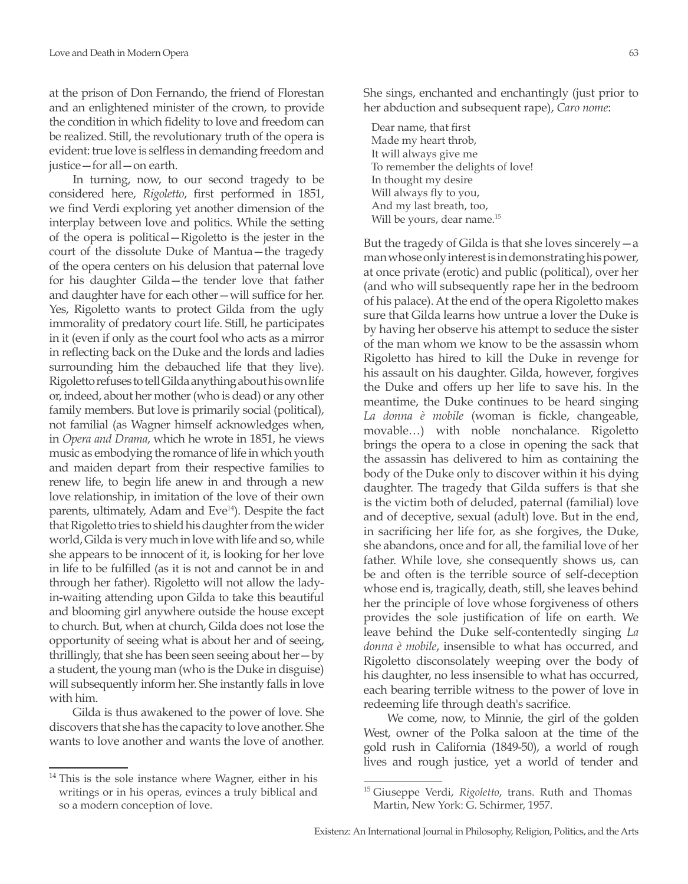at the prison of Don Fernando, the friend of Florestan and an enlightened minister of the crown, to provide the condition in which fidelity to love and freedom can be realized. Still, the revolutionary truth of the opera is evident: true love is selfless in demanding freedom and justice—for all—on earth.

In turning, now, to our second tragedy to be considered here, *Rigoletto*, first performed in 1851, we find Verdi exploring yet another dimension of the interplay between love and politics. While the setting of the opera is political—Rigoletto is the jester in the court of the dissolute Duke of Mantua—the tragedy of the opera centers on his delusion that paternal love for his daughter Gilda—the tender love that father and daughter have for each other—will suffice for her. Yes, Rigoletto wants to protect Gilda from the ugly immorality of predatory court life. Still, he participates in it (even if only as the court fool who acts as a mirror in reflecting back on the Duke and the lords and ladies surrounding him the debauched life that they live). Rigoletto refuses to tell Gilda anything about his own life or, indeed, about her mother (who is dead) or any other family members. But love is primarily social (political), not familial (as Wagner himself acknowledges when, in *Opera and Drama*, which he wrote in 1851, he views music as embodying the romance of life in which youth and maiden depart from their respective families to renew life, to begin life anew in and through a new love relationship, in imitation of the love of their own parents, ultimately, Adam and Eve<sup>14</sup>). Despite the fact that Rigoletto tries to shield his daughter from the wider world, Gilda is very much in love with life and so, while she appears to be innocent of it, is looking for her love in life to be fulfilled (as it is not and cannot be in and through her father). Rigoletto will not allow the ladyin-waiting attending upon Gilda to take this beautiful and blooming girl anywhere outside the house except to church. But, when at church, Gilda does not lose the opportunity of seeing what is about her and of seeing, thrillingly, that she has been seen seeing about her $-y$ a student, the young man (who is the Duke in disguise) will subsequently inform her. She instantly falls in love with him.

Gilda is thus awakened to the power of love. She discovers that she has the capacity to love another. She wants to love another and wants the love of another.

She sings, enchanted and enchantingly (just prior to her abduction and subsequent rape), *Caro nome*:

Dear name, that first Made my heart throb, It will always give me To remember the delights of love! In thought my desire Will always fly to you, And my last breath, too, Will be yours, dear name.<sup>15</sup>

But the tragedy of Gilda is that she loves sincerely—a man whose only interest is in demonstrating his power, at once private (erotic) and public (political), over her (and who will subsequently rape her in the bedroom of his palace). At the end of the opera Rigoletto makes sure that Gilda learns how untrue a lover the Duke is by having her observe his attempt to seduce the sister of the man whom we know to be the assassin whom Rigoletto has hired to kill the Duke in revenge for his assault on his daughter. Gilda, however, forgives the Duke and offers up her life to save his. In the meantime, the Duke continues to be heard singing *La donna è mobile* (woman is fickle, changeable, movable…) with noble nonchalance. Rigoletto brings the opera to a close in opening the sack that the assassin has delivered to him as containing the body of the Duke only to discover within it his dying daughter. The tragedy that Gilda suffers is that she is the victim both of deluded, paternal (familial) love and of deceptive, sexual (adult) love. But in the end, in sacrificing her life for, as she forgives, the Duke, she abandons, once and for all, the familial love of her father. While love, she consequently shows us, can be and often is the terrible source of self-deception whose end is, tragically, death, still, she leaves behind her the principle of love whose forgiveness of others provides the sole justification of life on earth. We leave behind the Duke self-contentedly singing *La donna è mobile*, insensible to what has occurred, and Rigoletto disconsolately weeping over the body of his daughter, no less insensible to what has occurred, each bearing terrible witness to the power of love in redeeming life through death's sacrifice.

We come, now, to Minnie, the girl of the golden West, owner of the Polka saloon at the time of the gold rush in California (1849-50), a world of rough lives and rough justice, yet a world of tender and

<sup>&</sup>lt;sup>14</sup> This is the sole instance where Wagner, either in his writings or in his operas, evinces a truly biblical and so a modern conception of love.

<sup>15</sup> Giuseppe Verdi, *Rigoletto*, trans. Ruth and Thomas Martin, New York: G. Schirmer, 1957.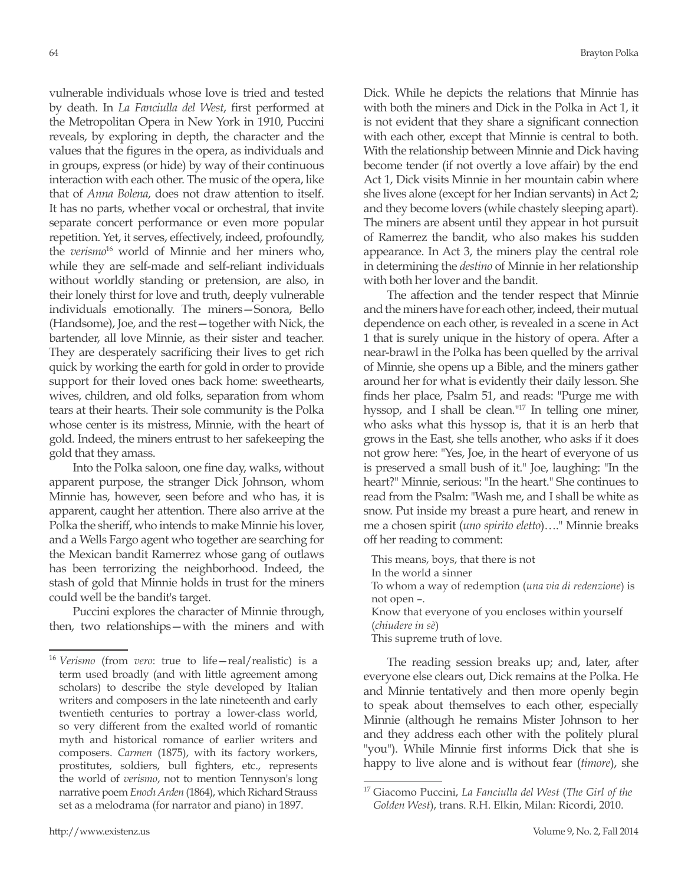vulnerable individuals whose love is tried and tested by death. In *La Fanciulla del West*, first performed at the Metropolitan Opera in New York in 1910, Puccini reveals, by exploring in depth, the character and the values that the figures in the opera, as individuals and in groups, express (or hide) by way of their continuous interaction with each other. The music of the opera, like that of *Anna Bolena*, does not draw attention to itself. It has no parts, whether vocal or orchestral, that invite separate concert performance or even more popular repetition. Yet, it serves, effectively, indeed, profoundly, the *verismo*16 world of Minnie and her miners who, while they are self-made and self-reliant individuals without worldly standing or pretension, are also, in their lonely thirst for love and truth, deeply vulnerable individuals emotionally. The miners—Sonora, Bello (Handsome), Joe, and the rest—together with Nick, the bartender, all love Minnie, as their sister and teacher. They are desperately sacrificing their lives to get rich quick by working the earth for gold in order to provide support for their loved ones back home: sweethearts, wives, children, and old folks, separation from whom tears at their hearts. Their sole community is the Polka whose center is its mistress, Minnie, with the heart of gold. Indeed, the miners entrust to her safekeeping the gold that they amass.

Into the Polka saloon, one fine day, walks, without apparent purpose, the stranger Dick Johnson, whom Minnie has, however, seen before and who has, it is apparent, caught her attention. There also arrive at the Polka the sheriff, who intends to make Minnie his lover, and a Wells Fargo agent who together are searching for the Mexican bandit Ramerrez whose gang of outlaws has been terrorizing the neighborhood. Indeed, the stash of gold that Minnie holds in trust for the miners could well be the bandit's target.

Puccini explores the character of Minnie through, then, two relationships—with the miners and with Dick. While he depicts the relations that Minnie has with both the miners and Dick in the Polka in Act 1, it is not evident that they share a significant connection with each other, except that Minnie is central to both. With the relationship between Minnie and Dick having become tender (if not overtly a love affair) by the end Act 1, Dick visits Minnie in her mountain cabin where she lives alone (except for her Indian servants) in Act 2; and they become lovers (while chastely sleeping apart). The miners are absent until they appear in hot pursuit of Ramerrez the bandit, who also makes his sudden appearance. In Act 3, the miners play the central role in determining the *destino* of Minnie in her relationship with both her lover and the bandit.

The affection and the tender respect that Minnie and the miners have for each other, indeed, their mutual dependence on each other, is revealed in a scene in Act 1 that is surely unique in the history of opera. After a near-brawl in the Polka has been quelled by the arrival of Minnie, she opens up a Bible, and the miners gather around her for what is evidently their daily lesson. She finds her place, Psalm 51, and reads: "Purge me with hyssop, and I shall be clean."17 In telling one miner, who asks what this hyssop is, that it is an herb that grows in the East, she tells another, who asks if it does not grow here: "Yes, Joe, in the heart of everyone of us is preserved a small bush of it." Joe, laughing: "In the heart?" Minnie, serious: "In the heart." She continues to read from the Psalm: "Wash me, and I shall be white as snow. Put inside my breast a pure heart, and renew in me a chosen spirit (*uno spirito eletto*)…." Minnie breaks off her reading to comment:

This means, boys, that there is not In the world a sinner To whom a way of redemption (*una via di redenzione*) is not open –. Know that everyone of you encloses within yourself (*chiudere in sè*) This supreme truth of love.

The reading session breaks up; and, later, after everyone else clears out, Dick remains at the Polka. He and Minnie tentatively and then more openly begin to speak about themselves to each other, especially Minnie (although he remains Mister Johnson to her and they address each other with the politely plural "you"). While Minnie first informs Dick that she is happy to live alone and is without fear (*timore*), she

<sup>16</sup> *Verismo* (from *vero*: true to life—real/realistic) is a term used broadly (and with little agreement among scholars) to describe the style developed by Italian writers and composers in the late nineteenth and early twentieth centuries to portray a lower-class world, so very different from the exalted world of romantic myth and historical romance of earlier writers and composers. *Carmen* (1875), with its factory workers, prostitutes, soldiers, bull fighters, etc., represents the world of *verismo*, not to mention Tennyson's long narrative poem *Enoch Arden* (1864), which Richard Strauss set as a melodrama (for narrator and piano) in 1897.

<sup>17</sup> Giacomo Puccini, *La Fanciulla del West* (*The Girl of the Golden West*), trans. R.H. Elkin, Milan: Ricordi, 2010.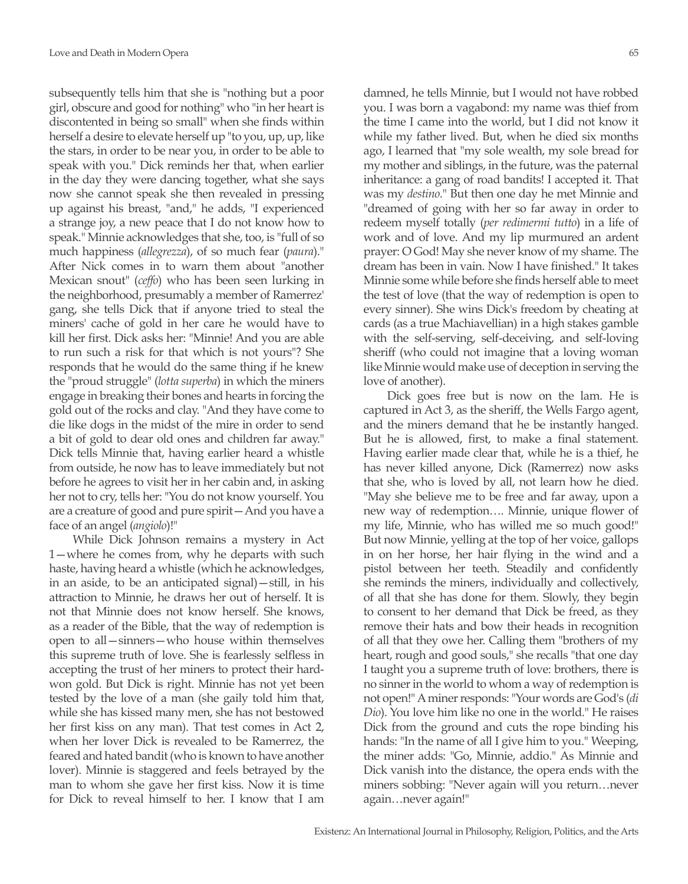subsequently tells him that she is "nothing but a poor girl, obscure and good for nothing" who "in her heart is discontented in being so small" when she finds within herself a desire to elevate herself up "to you, up, up, like the stars, in order to be near you, in order to be able to speak with you." Dick reminds her that, when earlier in the day they were dancing together, what she says now she cannot speak she then revealed in pressing up against his breast, "and," he adds, "I experienced a strange joy, a new peace that I do not know how to speak." Minnie acknowledges that she, too, is "full of so much happiness (*allegrezza*), of so much fear (*paura*)." After Nick comes in to warn them about "another Mexican snout" (*ceffo*) who has been seen lurking in the neighborhood, presumably a member of Ramerrez' gang, she tells Dick that if anyone tried to steal the miners' cache of gold in her care he would have to kill her first. Dick asks her: "Minnie! And you are able to run such a risk for that which is not yours"? She responds that he would do the same thing if he knew the "proud struggle" (*lotta superba*) in which the miners engage in breaking their bones and hearts in forcing the gold out of the rocks and clay. "And they have come to die like dogs in the midst of the mire in order to send a bit of gold to dear old ones and children far away." Dick tells Minnie that, having earlier heard a whistle from outside, he now has to leave immediately but not before he agrees to visit her in her cabin and, in asking her not to cry, tells her: "You do not know yourself. You are a creature of good and pure spirit—And you have a face of an angel (*angiolo*)!"

While Dick Johnson remains a mystery in Act 1—where he comes from, why he departs with such haste, having heard a whistle (which he acknowledges, in an aside, to be an anticipated signal)—still, in his attraction to Minnie, he draws her out of herself. It is not that Minnie does not know herself. She knows, as a reader of the Bible, that the way of redemption is open to all—sinners—who house within themselves this supreme truth of love. She is fearlessly selfless in accepting the trust of her miners to protect their hardwon gold. But Dick is right. Minnie has not yet been tested by the love of a man (she gaily told him that, while she has kissed many men, she has not bestowed her first kiss on any man). That test comes in Act 2, when her lover Dick is revealed to be Ramerrez, the feared and hated bandit (who is known to have another lover). Minnie is staggered and feels betrayed by the man to whom she gave her first kiss. Now it is time for Dick to reveal himself to her. I know that I am

damned, he tells Minnie, but I would not have robbed you. I was born a vagabond: my name was thief from the time I came into the world, but I did not know it while my father lived. But, when he died six months ago, I learned that "my sole wealth, my sole bread for my mother and siblings, in the future, was the paternal inheritance: a gang of road bandits! I accepted it. That was my *destino*." But then one day he met Minnie and "dreamed of going with her so far away in order to redeem myself totally (*per redimermi tutto*) in a life of work and of love. And my lip murmured an ardent prayer: O God! May she never know of my shame. The dream has been in vain. Now I have finished." It takes Minnie some while before she finds herself able to meet the test of love (that the way of redemption is open to every sinner). She wins Dick's freedom by cheating at cards (as a true Machiavellian) in a high stakes gamble with the self-serving, self-deceiving, and self-loving sheriff (who could not imagine that a loving woman like Minnie would make use of deception in serving the love of another).

Dick goes free but is now on the lam. He is captured in Act 3, as the sheriff, the Wells Fargo agent, and the miners demand that he be instantly hanged. But he is allowed, first, to make a final statement. Having earlier made clear that, while he is a thief, he has never killed anyone, Dick (Ramerrez) now asks that she, who is loved by all, not learn how he died. "May she believe me to be free and far away, upon a new way of redemption…. Minnie, unique flower of my life, Minnie, who has willed me so much good!" But now Minnie, yelling at the top of her voice, gallops in on her horse, her hair flying in the wind and a pistol between her teeth. Steadily and confidently she reminds the miners, individually and collectively, of all that she has done for them. Slowly, they begin to consent to her demand that Dick be freed, as they remove their hats and bow their heads in recognition of all that they owe her. Calling them "brothers of my heart, rough and good souls," she recalls "that one day I taught you a supreme truth of love: brothers, there is no sinner in the world to whom a way of redemption is not open!" A miner responds: "Your words are God's (*di Dio*). You love him like no one in the world." He raises Dick from the ground and cuts the rope binding his hands: "In the name of all I give him to you." Weeping, the miner adds: "Go, Minnie, addio." As Minnie and Dick vanish into the distance, the opera ends with the miners sobbing: "Never again will you return…never again…never again!"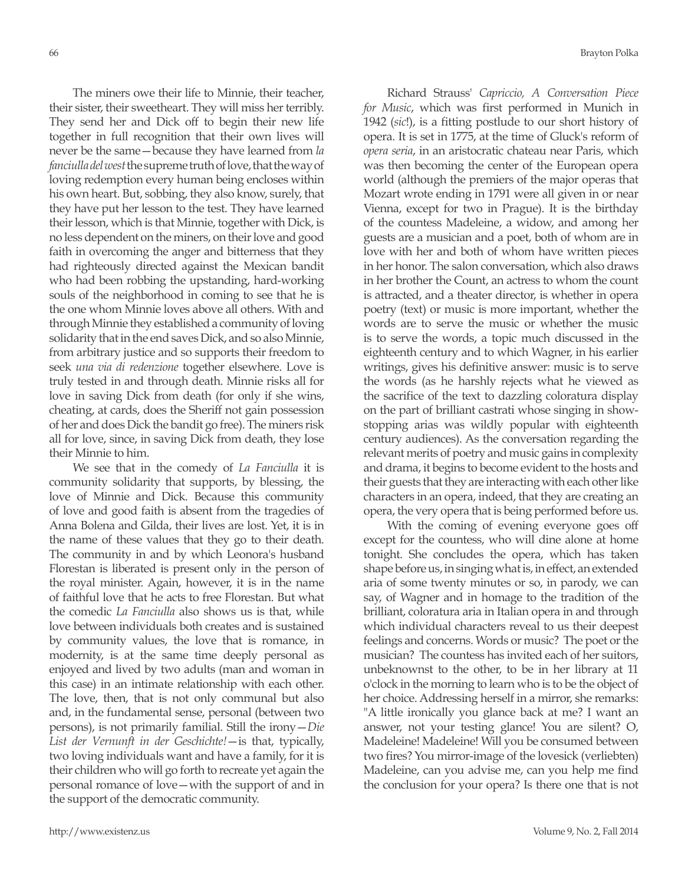The miners owe their life to Minnie, their teacher, their sister, their sweetheart. They will miss her terribly. They send her and Dick off to begin their new life together in full recognition that their own lives will never be the same—because they have learned from *la fanciulla del west* the supreme truth of love, that the way of loving redemption every human being encloses within his own heart. But, sobbing, they also know, surely, that they have put her lesson to the test. They have learned their lesson, which is that Minnie, together with Dick, is no less dependent on the miners, on their love and good faith in overcoming the anger and bitterness that they had righteously directed against the Mexican bandit who had been robbing the upstanding, hard-working souls of the neighborhood in coming to see that he is the one whom Minnie loves above all others. With and through Minnie they established a community of loving solidarity that in the end saves Dick, and so also Minnie, from arbitrary justice and so supports their freedom to seek *una via di redenzione* together elsewhere. Love is truly tested in and through death. Minnie risks all for love in saving Dick from death (for only if she wins, cheating, at cards, does the Sheriff not gain possession of her and does Dick the bandit go free). The miners risk all for love, since, in saving Dick from death, they lose their Minnie to him.

We see that in the comedy of *La Fanciulla* it is community solidarity that supports, by blessing, the love of Minnie and Dick. Because this community of love and good faith is absent from the tragedies of Anna Bolena and Gilda, their lives are lost. Yet, it is in the name of these values that they go to their death. The community in and by which Leonora's husband Florestan is liberated is present only in the person of the royal minister. Again, however, it is in the name of faithful love that he acts to free Florestan. But what the comedic *La Fanciulla* also shows us is that, while love between individuals both creates and is sustained by community values, the love that is romance, in modernity, is at the same time deeply personal as enjoyed and lived by two adults (man and woman in this case) in an intimate relationship with each other. The love, then, that is not only communal but also and, in the fundamental sense, personal (between two persons), is not primarily familial. Still the irony—*Die List der Vernunft in der Geschichte!*—is that, typically, two loving individuals want and have a family, for it is their children who will go forth to recreate yet again the personal romance of love—with the support of and in the support of the democratic community.

Richard Strauss' *Capriccio, A Conversation Piece for Music*, which was first performed in Munich in 1942 (*sic*!), is a fitting postlude to our short history of opera. It is set in 1775, at the time of Gluck's reform of *opera seria*, in an aristocratic chateau near Paris, which was then becoming the center of the European opera world (although the premiers of the major operas that Mozart wrote ending in 1791 were all given in or near Vienna, except for two in Prague). It is the birthday of the countess Madeleine, a widow, and among her guests are a musician and a poet, both of whom are in love with her and both of whom have written pieces in her honor. The salon conversation, which also draws in her brother the Count, an actress to whom the count is attracted, and a theater director, is whether in opera poetry (text) or music is more important, whether the words are to serve the music or whether the music is to serve the words, a topic much discussed in the eighteenth century and to which Wagner, in his earlier writings, gives his definitive answer: music is to serve the words (as he harshly rejects what he viewed as the sacrifice of the text to dazzling coloratura display on the part of brilliant castrati whose singing in showstopping arias was wildly popular with eighteenth century audiences). As the conversation regarding the relevant merits of poetry and music gains in complexity and drama, it begins to become evident to the hosts and their guests that they are interacting with each other like characters in an opera, indeed, that they are creating an opera, the very opera that is being performed before us.

With the coming of evening everyone goes off except for the countess, who will dine alone at home tonight. She concludes the opera, which has taken shape before us, in singing what is, in effect, an extended aria of some twenty minutes or so, in parody, we can say, of Wagner and in homage to the tradition of the brilliant, coloratura aria in Italian opera in and through which individual characters reveal to us their deepest feelings and concerns. Words or music? The poet or the musician? The countess has invited each of her suitors, unbeknownst to the other, to be in her library at 11 o'clock in the morning to learn who is to be the object of her choice. Addressing herself in a mirror, she remarks: "A little ironically you glance back at me? I want an answer, not your testing glance! You are silent? O, Madeleine! Madeleine! Will you be consumed between two fires? You mirror-image of the lovesick (verliebten) Madeleine, can you advise me, can you help me find the conclusion for your opera? Is there one that is not